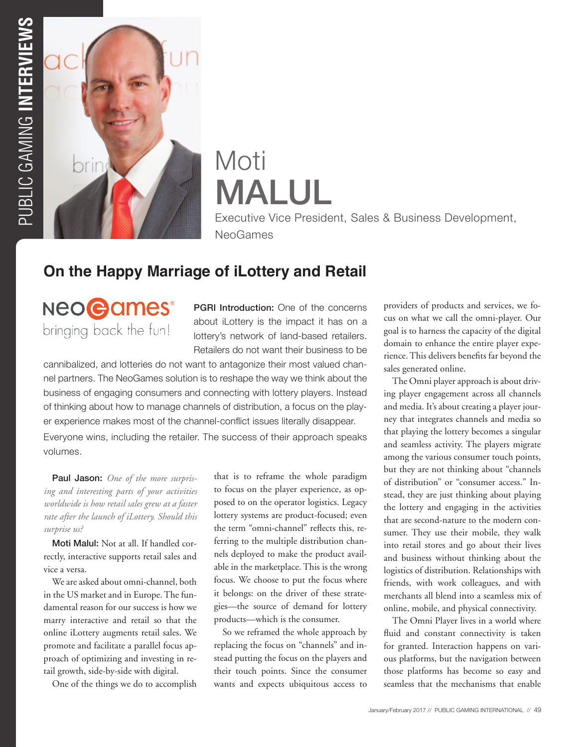

# Moti MALUL

Executive Vice President, Sales & Business Development, NeoGames

# **On the Happy Marriage of iLottery and Retail**

**NEOGames®** bringing back the fun!

**PGRI Introduction:** One of the concerns about iLottery is the impact it has on a lottery's network of land-based retailers. Retailers do not want their business to be

cannibalized, and lotteries do not want to antagonize their most valued channel partners. The NeoGames solution is to reshape the way we think about the business of engaging consumers and connecting with lottery players. Instead of thinking about how to manage channels of distribution, a focus on the player experience makes most of the channel-conflict issues literally disappear.

Everyone wins, including the retailer. The success of their approach speaks volumes.

Paul Jason: *One of the more surprising and interesting parts of your activities worldwide is how retail sales grew at a faster rate after the launch of iLottery. Should this surprise us?*

Moti Malul: Not at all. If handled correctly, interactive supports retail sales and vice a versa.

We are asked about omni-channel, both in the US market and in Europe. The fundamental reason for our success is how we marry interactive and retail so that the online iLottery augments retail sales. We promote and facilitate a parallel focus approach of optimizing and investing in retail growth, side-by-side with digital.

One of the things we do to accomplish

that is to reframe the whole paradigm to focus on the player experience, as opposed to on the operator logistics. Legacy lottery systems are product-focused; even the term "omni-channel" reflects this, referring to the multiple distribution channels deployed to make the product available in the marketplace. This is the wrong focus. We choose to put the focus where it belongs: on the driver of these strategies—the source of demand for lottery products—which is the consumer.

So we reframed the whole approach by replacing the focus on "channels" and instead putting the focus on the players and their touch points. Since the consumer wants and expects ubiquitous access to providers of products and services, we focus on what we call the omni-player. Our goal is to harness the capacity of the digital domain to enhance the entire player experience. This delivers benefits far beyond the sales generated online.

The Omni player approach is about driving player engagement across all channels and media. It's about creating a player journey that integrates channels and media so that playing the lottery becomes a singular and seamless activity. The players migrate among the various consumer touch points, but they are not thinking about "channels of distribution" or "consumer access." Instead, they are just thinking about playing the lottery and engaging in the activities that are second-nature to the modern consumer. They use their mobile, they walk into retail stores and go about their lives and business without thinking about the logistics of distribution. Relationships with friends, with work colleagues, and with merchants all blend into a seamless mix of online, mobile, and physical connectivity.

The Omni Player lives in a world where fluid and constant connectivity is taken for granted. Interaction happens on various platforms, but the navigation between those platforms has become so easy and seamless that the mechanisms that enable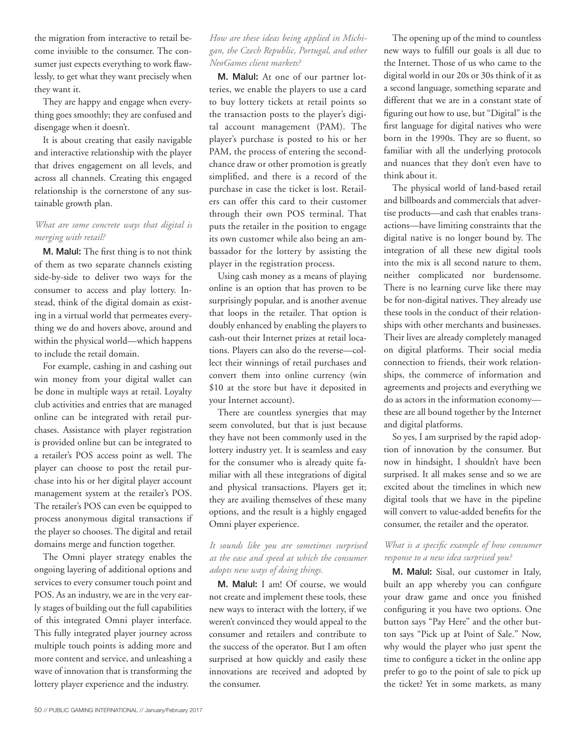the migration from interactive to retail become invisible to the consumer. The consumer just expects everything to work flawlessly, to get what they want precisely when they want it.

They are happy and engage when everything goes smoothly; they are confused and disengage when it doesn't.

It is about creating that easily navigable and interactive relationship with the player that drives engagement on all levels, and across all channels. Creating this engaged relationship is the cornerstone of any sustainable growth plan.

# *What are some concrete ways that digital is merging with retail?*

M. Malul: The first thing is to not think of them as two separate channels existing side-by-side to deliver two ways for the consumer to access and play lottery. Instead, think of the digital domain as existing in a virtual world that permeates everything we do and hovers above, around and within the physical world—which happens to include the retail domain.

For example, cashing in and cashing out win money from your digital wallet can be done in multiple ways at retail. Loyalty club activities and entries that are managed online can be integrated with retail purchases. Assistance with player registration is provided online but can be integrated to a retailer's POS access point as well. The player can choose to post the retail purchase into his or her digital player account management system at the retailer's POS. The retailer's POS can even be equipped to process anonymous digital transactions if the player so chooses. The digital and retail domains merge and function together.

The Omni player strategy enables the ongoing layering of additional options and services to every consumer touch point and POS. As an industry, we are in the very early stages of building out the full capabilities of this integrated Omni player interface. This fully integrated player journey across multiple touch points is adding more and more content and service, and unleashing a wave of innovation that is transforming the lottery player experience and the industry.

### *How are these ideas being applied in Michigan, the Czech Republic, Portugal, and other NeoGames client markets?*

M. Malul: At one of our partner lotteries, we enable the players to use a card to buy lottery tickets at retail points so the transaction posts to the player's digital account management (PAM). The player's purchase is posted to his or her PAM, the process of entering the secondchance draw or other promotion is greatly simplified, and there is a record of the purchase in case the ticket is lost. Retailers can offer this card to their customer through their own POS terminal. That puts the retailer in the position to engage its own customer while also being an ambassador for the lottery by assisting the player in the registration process.

Using cash money as a means of playing online is an option that has proven to be surprisingly popular, and is another avenue that loops in the retailer. That option is doubly enhanced by enabling the players to cash-out their Internet prizes at retail locations. Players can also do the reverse—collect their winnings of retail purchases and convert them into online currency (win \$10 at the store but have it deposited in your Internet account).

There are countless synergies that may seem convoluted, but that is just because they have not been commonly used in the lottery industry yet. It is seamless and easy for the consumer who is already quite familiar with all these integrations of digital and physical transactions. Players get it; they are availing themselves of these many options, and the result is a highly engaged Omni player experience.

#### *It sounds like you are sometimes surprised at the ease and speed at which the consumer adopts new ways of doing things.*

M. Malul: I am! Of course, we would not create and implement these tools, these new ways to interact with the lottery, if we weren't convinced they would appeal to the consumer and retailers and contribute to the success of the operator. But I am often surprised at how quickly and easily these innovations are received and adopted by the consumer.

The opening up of the mind to countless new ways to fulfill our goals is all due to the Internet. Those of us who came to the digital world in our 20s or 30s think of it as a second language, something separate and different that we are in a constant state of figuring out how to use, but "Digital" is the first language for digital natives who were born in the 1990s. They are so fluent, so familiar with all the underlying protocols and nuances that they don't even have to think about it.

The physical world of land-based retail and billboards and commercials that advertise products—and cash that enables transactions—have limiting constraints that the digital native is no longer bound by. The integration of all these new digital tools into the mix is all second nature to them, neither complicated nor burdensome. There is no learning curve like there may be for non-digital natives. They already use these tools in the conduct of their relationships with other merchants and businesses. Their lives are already completely managed on digital platforms. Their social media connection to friends, their work relationships, the commerce of information and agreements and projects and everything we do as actors in the information economy these are all bound together by the Internet and digital platforms.

So yes, I am surprised by the rapid adoption of innovation by the consumer. But now in hindsight, I shouldn't have been surprised. It all makes sense and so we are excited about the timelines in which new digital tools that we have in the pipeline will convert to value-added benefits for the consumer, the retailer and the operator.

# *What is a specific example of how consumer response to a new idea surprised you?*

M. Malul: Sisal, our customer in Italy, built an app whereby you can configure your draw game and once you finished configuring it you have two options. One button says "Pay Here" and the other button says "Pick up at Point of Sale." Now, why would the player who just spent the time to configure a ticket in the online app prefer to go to the point of sale to pick up the ticket? Yet in some markets, as many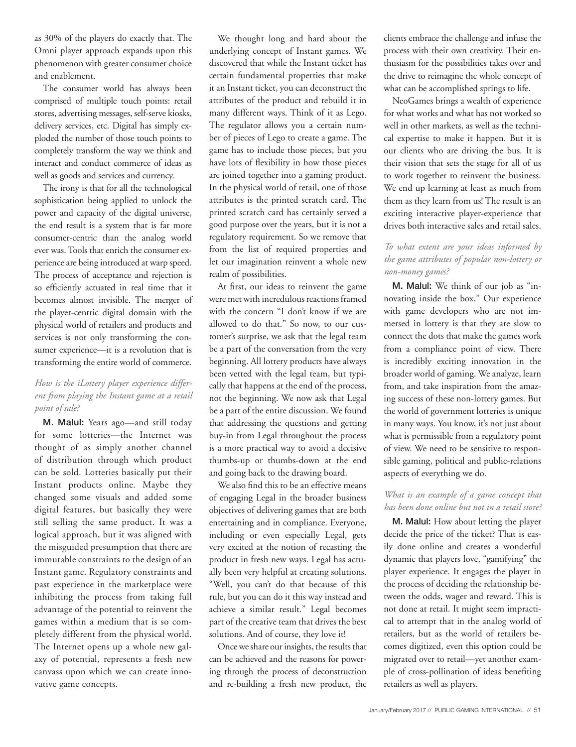as 30% of the players do exactly that. The Omni player approach expands upon this phenomenon with greater consumer choice and enablement.

The consumer world has always been comprised of multiple touch points: retail stores, advertising messages, self-serve kiosks, delivery services, etc. Digital has simply exploded the number of those touch points to completely transform the way we think and interact and conduct commerce of ideas as well as goods and services and currency.

The irony is that for all the technological sophistication being applied to unlock the power and capacity of the digital universe, the end result is a system that is far more consumer-centric than the analog world ever was. Tools that enrich the consumer experience are being introduced at warp speed. The process of acceptance and rejection is so efficiently actuated in real time that it becomes almost invisible. The merger of the player-centric digital domain with the physical world of retailers and products and services is not only transforming the consumer experience—it is a revolution that is transforming the entire world of commerce.

# *How is the iLottery player experience different from playing the Instant game at a retail point of sale?*

M. Malul: Years ago—and still today for some lotteries—the Internet was thought of as simply another channel of distribution through which product can be sold. Lotteries basically put their Instant products online. Maybe they changed some visuals and added some digital features, but basically they were still selling the same product. It was a logical approach, but it was aligned with the misguided presumption that there are immutable constraints to the design of an Instant game. Regulatory constraints and past experience in the marketplace were inhibiting the process from taking full advantage of the potential to reinvent the games within a medium that is so completely different from the physical world. The Internet opens up a whole new galaxy of potential, represents a fresh new canvass upon which we can create innovative game concepts.

We thought long and hard about the underlying concept of Instant games. We discovered that while the Instant ticket has certain fundamental properties that make it an Instant ticket, you can deconstruct the attributes of the product and rebuild it in many different ways. Think of it as Lego. The regulator allows you a certain number of pieces of Lego to create a game. The game has to include those pieces, but you have lots of flexibility in how those pieces are joined together into a gaming product. In the physical world of retail, one of those attributes is the printed scratch card. The printed scratch card has certainly served a good purpose over the years, but it is not a regulatory requirement. So we remove that from the list of required properties and let our imagination reinvent a whole new realm of possibilities.

At first, our ideas to reinvent the game were met with incredulous reactions framed with the concern "I don't know if we are allowed to do that." So now, to our customer's surprise, we ask that the legal team be a part of the conversation from the very beginning. All lottery products have always been vetted with the legal team, but typically that happens at the end of the process, not the beginning. We now ask that Legal be a part of the entire discussion. We found that addressing the questions and getting buy-in from Legal throughout the process is a more practical way to avoid a decisive thumbs-up or thumbs-down at the end and going back to the drawing board.

We also find this to be an effective means of engaging Legal in the broader business objectives of delivering games that are both entertaining and in compliance. Everyone, including or even especially Legal, gets very excited at the notion of recasting the product in fresh new ways. Legal has actually been very helpful at creating solutions. "Well, you can't do that because of this rule, but you can do it this way instead and achieve a similar result." Legal becomes part of the creative team that drives the best solutions. And of course, they love it!

Once we share our insights, the results that can be achieved and the reasons for powering through the process of deconstruction and re-building a fresh new product, the clients embrace the challenge and infuse the process with their own creativity. Their enthusiasm for the possibilities takes over and the drive to reimagine the whole concept of what can be accomplished springs to life.

NeoGames brings a wealth of experience for what works and what has not worked so well in other markets, as well as the technical expertise to make it happen. But it is our clients who are driving the bus. It is their vision that sets the stage for all of us to work together to reinvent the business. We end up learning at least as much from them as they learn from us! The result is an exciting interactive player-experience that drives both interactive sales and retail sales.

# *To what extent are your ideas informed by the game attributes of popular non-lottery or non-money games?*

M. Malul: We think of our job as "innovating inside the box." Our experience with game developers who are not immersed in lottery is that they are slow to connect the dots that make the games work from a compliance point of view. There is incredibly exciting innovation in the broader world of gaming. We analyze, learn from, and take inspiration from the amazing success of these non-lottery games. But the world of government lotteries is unique in many ways. You know, it's not just about what is permissible from a regulatory point of view. We need to be sensitive to responsible gaming, political and public-relations aspects of everything we do.

#### *What is an example of a game concept that has been done online but not in a retail store?*

M. Malul: How about letting the player decide the price of the ticket? That is easily done online and creates a wonderful dynamic that players love, "gamifying" the player experience. It engages the player in the process of deciding the relationship between the odds, wager and reward. This is not done at retail. It might seem impractical to attempt that in the analog world of retailers, but as the world of retailers becomes digitized, even this option could be migrated over to retail—yet another example of cross-pollination of ideas benefiting retailers as well as players.